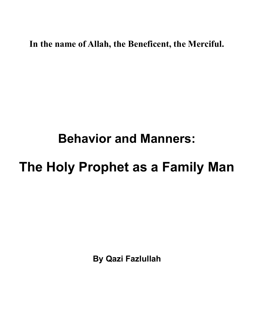**In the name of Allah, the Beneficent, the Merciful.** 

## **Behavior and Manners:**

## **The Holy Prophet as a Family Man**

**By Qazi Fazlullah**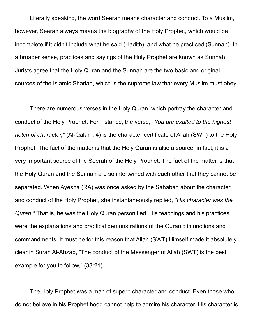Literally speaking, the word Seerah means character and conduct. To a Muslim, however, Seerah always means the biography of the Holy Prophet, which would be incomplete if it didn't include what he said (Hadith), and what he practiced (Sunnah). In a broader sense, practices and sayings of the Holy Prophet are known as Sunnah. Jurists agree that the Holy Quran and the Sunnah are the two basic and original sources of the Islamic Shariah, which is the supreme law that every Muslim must obey.

There are numerous verses in the Holy Quran, which portray the character and conduct of the Holy Prophet. For instance, the verse, *"You are exalted to the highest notch of character,"* (Al-Qalam: 4) is the character certificate of Allah (SWT) to the Holy Prophet. The fact of the matter is that the Holy Quran is also a source; in fact, it is a very important source of the Seerah of the Holy Prophet. The fact of the matter is that the Holy Quran and the Sunnah are so intertwined with each other that they cannot be separated. When Ayesha (RA) was once asked by the Sahabah about the character and conduct of the Holy Prophet, she instantaneously replied, *"His character was the Quran."* That is, he was the Holy Quran personified. His teachings and his practices were the explanations and practical demonstrations of the Quranic injunctions and commandments. It must be for this reason that Allah (SWT) Himself made it absolutely clear in Surah Al-Ahzab, "The conduct of the Messenger of Allah (SWT) is the best example for you to follow," (33:21).

The Holy Prophet was a man of superb character and conduct. Even those who do not believe in his Prophet hood cannot help to admire his character. His character is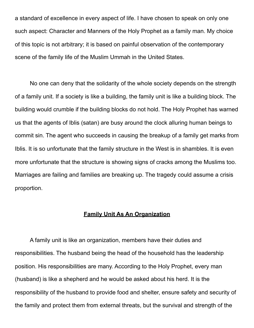a standard of excellence in every aspect of life. I have chosen to speak on only one such aspect: Character and Manners of the Holy Prophet as a family man. My choice of this topic is not arbitrary; it is based on painful observation of the contemporary scene of the family life of the Muslim Ummah in the United States.

No one can deny that the solidarity of the whole society depends on the strength of a family unit. If a society is like a building, the family unit is like a building block. The building would crumble if the building blocks do not hold. The Holy Prophet has warned us that the agents of Iblis (satan) are busy around the clock alluring human beings to commit sin. The agent who succeeds in causing the breakup of a family get marks from Iblis. It is so unfortunate that the family structure in the West is in shambles. It is even more unfortunate that the structure is showing signs of cracks among the Muslims too. Marriages are failing and families are breaking up. The tragedy could assume a crisis proportion.

## **Family Unit As An Organization**

A family unit is like an organization, members have their duties and responsibilities. The husband being the head of the household has the leadership position. His responsibilities are many. According to the Holy Prophet, every man (husband) is like a shepherd and he would be asked about his herd. It is the responsibility of the husband to provide food and shelter, ensure safety and security of the family and protect them from external threats, but the survival and strength of the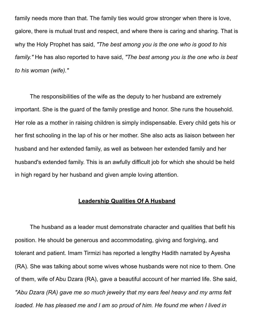family needs more than that. The family ties would grow stronger when there is love, galore, there is mutual trust and respect, and where there is caring and sharing. That is why the Holy Prophet has said, *"The best among you is the one who is good to his family."* He has also reported to have said, *"The best among you is the one who is best to his woman (wife)."*

The responsibilities of the wife as the deputy to her husband are extremely important. She is the guard of the family prestige and honor. She runs the household. Her role as a mother in raising children is simply indispensable. Every child gets his or her first schooling in the lap of his or her mother. She also acts as liaison between her husband and her extended family, as well as between her extended family and her husband's extended family. This is an awfully difficult job for which she should be held in high regard by her husband and given ample loving attention.

## **Leadership Qualities Of A Husband**

The husband as a leader must demonstrate character and qualities that befit his position. He should be generous and accommodating, giving and forgiving, and tolerant and patient. Imam Tirmizi has reported a lengthy Hadith narrated by Ayesha (RA). She was talking about some wives whose husbands were not nice to them. One of them, wife of Abu Dzara (RA), gave a beautiful account of her married life. She said, *"Abu Dzara (RA) gave me so much jewelry that my ears feel heavy and my arms felt loaded. He has pleased me and I am so proud of him. He found me when I lived in*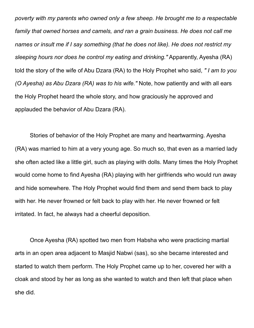*poverty with my parents who owned only a few sheep. He brought me to a respectable family that owned horses and camels, and ran a grain business. He does not call me names or insult me if I say something (that he does not like). He does not restrict my sleeping hours nor does he control my eating and drinking."* Apparently, Ayesha (RA) told the story of the wife of Abu Dzara (RA) to the Holy Prophet who said, *" I am to you (O Ayesha) as Abu Dzara (RA) was to his wife."* Note, how patiently and with all ears the Holy Prophet heard the whole story, and how graciously he approved and applauded the behavior of Abu Dzara (RA).

Stories of behavior of the Holy Prophet are many and heartwarming. Ayesha (RA) was married to him at a very young age. So much so, that even as a married lady she often acted like a little girl, such as playing with dolls. Many times the Holy Prophet would come home to find Ayesha (RA) playing with her girlfriends who would run away and hide somewhere. The Holy Prophet would find them and send them back to play with her. He never frowned or felt back to play with her. He never frowned or felt irritated. In fact, he always had a cheerful deposition.

Once Ayesha (RA) spotted two men from Habsha who were practicing martial arts in an open area adjacent to Masjid Nabwi (sas), so she became interested and started to watch them perform. The Holy Prophet came up to her, covered her with a cloak and stood by her as long as she wanted to watch and then left that place when she did.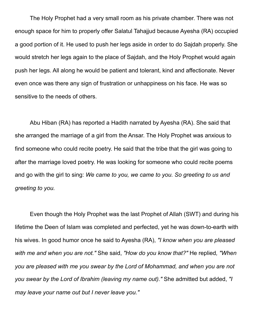The Holy Prophet had a very small room as his private chamber. There was not enough space for him to properly offer Salatul Tahajjud because Ayesha (RA) occupied a good portion of it. He used to push her legs aside in order to do Sajdah properly. She would stretch her legs again to the place of Sajdah, and the Holy Prophet would again push her legs. All along he would be patient and tolerant, kind and affectionate. Never even once was there any sign of frustration or unhappiness on his face. He was so sensitive to the needs of others.

Abu Hiban (RA) has reported a Hadith narrated by Ayesha (RA). She said that she arranged the marriage of a girl from the Ansar. The Holy Prophet was anxious to find someone who could recite poetry. He said that the tribe that the girl was going to after the marriage loved poetry. He was looking for someone who could recite poems and go with the girl to sing: *We came to you, we came to you. So greeting to us and greeting to you.*

Even though the Holy Prophet was the last Prophet of Allah (SWT) and during his lifetime the Deen of Islam was completed and perfected, yet he was down-to-earth with his wives. In good humor once he said to Ayesha (RA), *"I know when you are pleased with me and when you are not."* She said, *"How do you know that?"* He replied*, "When you are pleased with me you swear by the Lord of Mohammad, and when you are not you swear by the Lord of Ibrahim (leaving my name out)."* She admitted but added, *"I may leave your name out but I never leave you."*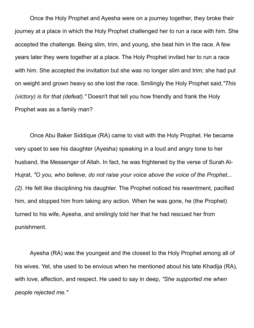Once the Holy Prophet and Ayesha were on a journey together, they broke their journey at a place in which the Holy Prophet challenged her to run a race with him. She accepted the challenge. Being slim, trim, and young, she beat him in the race. A few years later they were together at a place. The Holy Prophet invited her to run a race with him. She accepted the invitation but she was no longer slim and trim; she had put on weight and grown heavy so she lost the race. Smilingly the Holy Prophet said,*"This (victory) is for that (defeat)."* Doesn't that tell you how friendly and frank the Holy Prophet was as a family man?

Once Abu Baker Siddique (RA) came to visit with the Holy Prophet. He became very upset to see his daughter (Ayesha) speaking in a loud and angry tone to her husband, the Messenger of Allah. In fact, he was frightened by the verse of Surah Al-Hujrat, *"O you, who believe, do not raise your voice above the voice of the Prophet... (2).* He felt like disciplining his daughter. The Prophet noticed his resentment, pacified him, and stopped him from taking any action. When he was gone, he (the Prophet) turned to his wife, Ayesha, and smilingly told her that he had rescued her from punishment.

Ayesha (RA) was the youngest and the closest to the Holy Prophet among all of his wives. Yet, she used to be envious when he mentioned about his late Khadija (RA), with love, affection, and respect. He used to say in deep, *"She supported me when people rejected me."*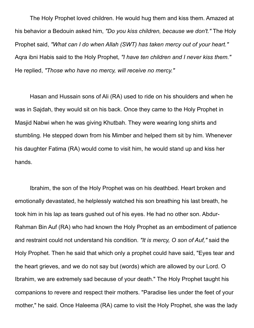The Holy Prophet loved children. He would hug them and kiss them. Amazed at his behavior a Bedouin asked him, *"Do you kiss children, because we don't."* The Holy Prophet said, *"What can I do when Allah (SWT) has taken mercy out of your heart."*  Aqra ibni Habis said to the Holy Prophet, *"I have ten children and I never kiss them."*  He replied, *"Those who have no mercy, will receive no mercy."* 

Hasan and Hussain sons of Ali (RA) used to ride on his shoulders and when he was in Sajdah, they would sit on his back. Once they came to the Holy Prophet in Masjid Nabwi when he was giving Khutbah. They were wearing long shirts and stumbling. He stepped down from his Mimber and helped them sit by him. Whenever his daughter Fatima (RA) would come to visit him, he would stand up and kiss her hands.

Ibrahim, the son of the Holy Prophet was on his deathbed. Heart broken and emotionally devastated, he helplessly watched his son breathing his last breath, he took him in his lap as tears gushed out of his eyes. He had no other son. Abdur-Rahman Bin Auf (RA) who had known the Holy Prophet as an embodiment of patience and restraint could not understand his condition. *"It is mercy, O son of Auf,"* said the Holy Prophet. Then he said that which only a prophet could have said, "Eyes tear and the heart grieves, and we do not say but (words) which are allowed by our Lord. O Ibrahim, we are extremely sad because of your death." The Holy Prophet taught his companions to revere and respect their mothers. "Paradise lies under the feet of your mother," he said. Once Haleema (RA) came to visit the Holy Prophet, she was the lady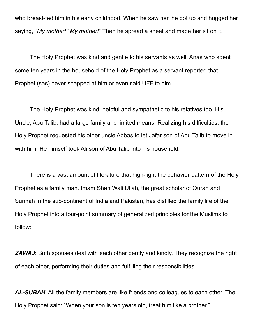who breast-fed him in his early childhood. When he saw her, he got up and hugged her saying, *"My mother!" My mother!"* Then he spread a sheet and made her sit on it.

The Holy Prophet was kind and gentle to his servants as well. Anas who spent some ten years in the household of the Holy Prophet as a servant reported that Prophet (sas) never snapped at him or even said UFF to him.

The Holy Prophet was kind, helpful and sympathetic to his relatives too. His Uncle, Abu Talib, had a large family and limited means. Realizing his difficulties, the Holy Prophet requested his other uncle Abbas to let Jafar son of Abu Talib to move in with him. He himself took Ali son of Abu Talib into his household.

There is a vast amount of literature that high-light the behavior pattern of the Holy Prophet as a family man. Imam Shah Wali Ullah, the great scholar of Quran and Sunnah in the sub-continent of India and Pakistan, has distilled the family life of the Holy Prophet into a four-point summary of generalized principles for the Muslims to follow:

**ZAWAJ:** Both spouses deal with each other gently and kindly. They recognize the right of each other, performing their duties and fulfilling their responsibilities.

*AL-SUBAH*: All the family members are like friends and colleagues to each other. The Holy Prophet said: "When your son is ten years old, treat him like a brother."